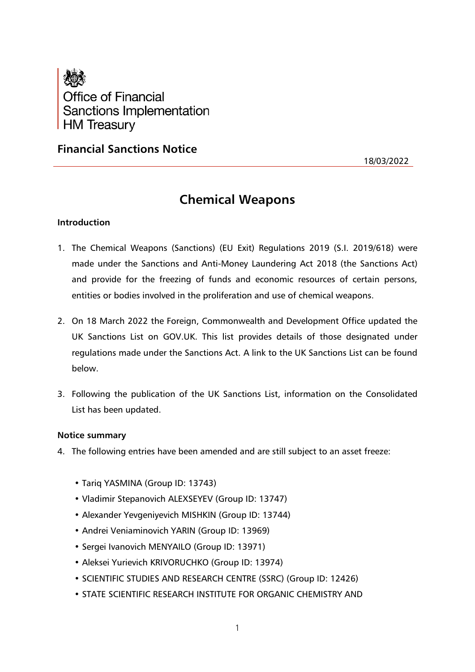

## **Financial Sanctions Notice**

18/03/2022

# **Chemical Weapons**

## **Introduction**

- 1. The Chemical Weapons (Sanctions) (EU Exit) Regulations 2019 (S.I. 2019/618) were made under the Sanctions and Anti-Money Laundering Act 2018 (the Sanctions Act) and provide for the freezing of funds and economic resources of certain persons, entities or bodies involved in the proliferation and use of chemical weapons.
- 2. On 18 March 2022 the Foreign, Commonwealth and Development Office updated the UK Sanctions List on GOV.UK. This list provides details of those designated under regulations made under the Sanctions Act. A link to the UK Sanctions List can be found below.
- 3. Following the publication of the UK Sanctions List, information on the Consolidated List has been updated.

## **Notice summary**

- 4. The following entries have been amended and are still subject to an asset freeze:
	- Tariq YASMINA (Group ID: 13743)
	- Vladimir Stepanovich ALEXSEYEV (Group ID: 13747)
	- Alexander Yevgeniyevich MISHKIN (Group ID: 13744)
	- Andrei Veniaminovich YARIN (Group ID: 13969)
	- Sergei Ivanovich MENYAILO (Group ID: 13971)
	- Aleksei Yurievich KRIVORUCHKO (Group ID: 13974)
	- SCIENTIFIC STUDIES AND RESEARCH CENTRE (SSRC) (Group ID: 12426)
	- STATE SCIENTIFIC RESEARCH INSTITUTE FOR ORGANIC CHEMISTRY AND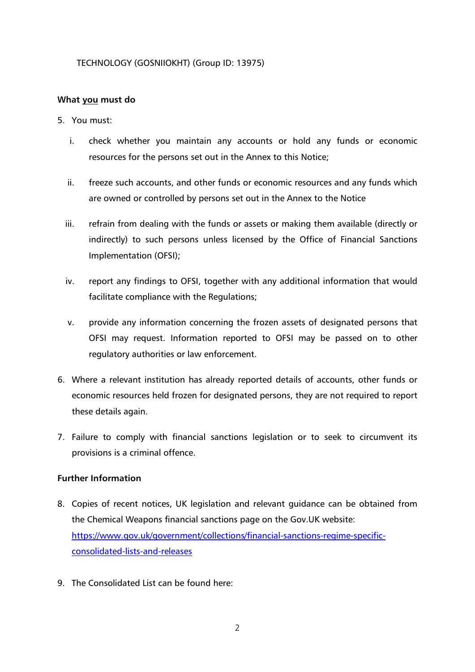## TECHNOLOGY (GOSNIIOKHT) (Group ID: 13975)

## **What you must do**

- 5. You must:
	- i. check whether you maintain any accounts or hold any funds or economic resources for the persons set out in the Annex to this Notice;
	- ii. freeze such accounts, and other funds or economic resources and any funds which are owned or controlled by persons set out in the Annex to the Notice
	- iii. refrain from dealing with the funds or assets or making them available (directly or indirectly) to such persons unless licensed by the Office of Financial Sanctions Implementation (OFSI);
	- iv. report any findings to OFSI, together with any additional information that would facilitate compliance with the Regulations;
	- v. provide any information concerning the frozen assets of designated persons that OFSI may request. Information reported to OFSI may be passed on to other regulatory authorities or law enforcement.
- 6. Where a relevant institution has already reported details of accounts, other funds or economic resources held frozen for designated persons, they are not required to report these details again.
- 7. Failure to comply with financial sanctions legislation or to seek to circumvent its provisions is a criminal offence.

## **Further Information**

- 8. Copies of recent notices, UK legislation and relevant guidance can be obtained from the Chemical Weapons financial sanctions page on the Gov.UK website: [https://www.gov.uk/government/collections/financial-sanctions-regime-specific](https://www.gov.uk/government/collections/financial-sanctions-regime-specific-consolidated-lists-and-releases)[consolidated-lists-and-releases](https://www.gov.uk/government/collections/financial-sanctions-regime-specific-consolidated-lists-and-releases)
- 9. The Consolidated List can be found here: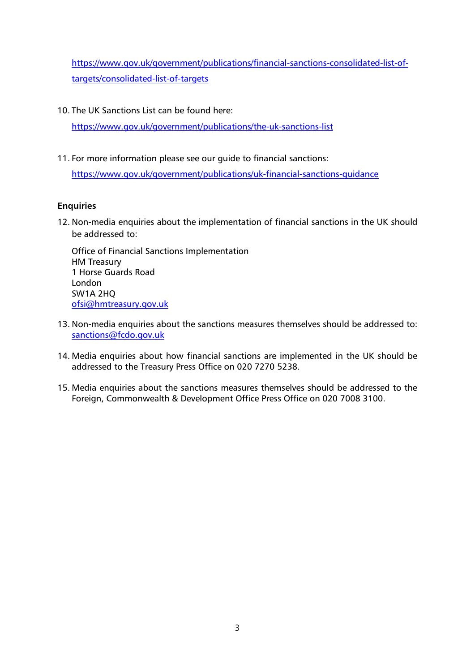[https://www.gov.uk/government/publications/financial-sanctions-consolidated-list-of](https://www.gov.uk/government/publications/financial-sanctions-consolidated-list-of-targets/consolidated-list-of-targets)[targets/consolidated-list-of-targets](https://www.gov.uk/government/publications/financial-sanctions-consolidated-list-of-targets/consolidated-list-of-targets)

10. The UK Sanctions List can be found here:

<https://www.gov.uk/government/publications/the-uk-sanctions-list>

11. For more information please see our guide to financial sanctions:

<https://www.gov.uk/government/publications/uk-financial-sanctions-guidance>

## **Enquiries**

12. Non-media enquiries about the implementation of financial sanctions in the UK should be addressed to:

Office of Financial Sanctions Implementation HM Treasury 1 Horse Guards Road London SW1A 2HQ [ofsi@hmtreasury.gov.uk](mailto:ofsi@hmtreasury.gov.uk)

- 13. Non-media enquiries about the sanctions measures themselves should be addressed to: [sanctions@fcdo.gov.uk](mailto:sanctions@fcdo.gov.uk)
- 14. Media enquiries about how financial sanctions are implemented in the UK should be addressed to the Treasury Press Office on 020 7270 5238.
- 15. Media enquiries about the sanctions measures themselves should be addressed to the Foreign, Commonwealth & Development Office Press Office on 020 7008 3100.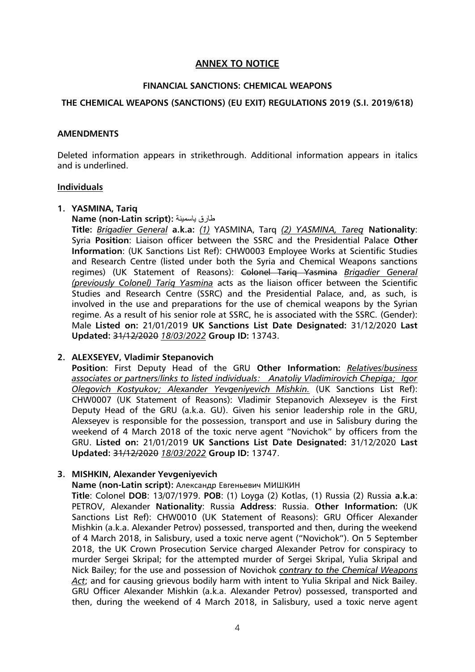## **ANNEX TO NOTICE**

## **FINANCIAL SANCTIONS: CHEMICAL WEAPONS**

## **THE CHEMICAL WEAPONS (SANCTIONS) (EU EXIT) REGULATIONS 2019 (S.I. 2019/618)**

#### **AMENDMENTS**

Deleted information appears in strikethrough. Additional information appears in italics and is underlined.

#### **Individuals**

#### **1. YASMINA, Tariq**

**Name (non-Latin script):** ياسمينة طارق

**Title:** *Brigadier General* **a.k.a:** *(1)* YASMINA, Tarq *(2) YASMINA, Tareq* **Nationality**: Syria **Position**: Liaison officer between the SSRC and the Presidential Palace **Other Information**: (UK Sanctions List Ref): CHW0003 Employee Works at Scientific Studies and Research Centre (listed under both the Syria and Chemical Weapons sanctions regimes) (UK Statement of Reasons): Colonel Tariq Yasmina *Brigadier General (previously Colonel) Tariq Yasmina* acts as the liaison officer between the Scientific Studies and Research Centre (SSRC) and the Presidential Palace, and, as such, is involved in the use and preparations for the use of chemical weapons by the Syrian regime. As a result of his senior role at SSRC, he is associated with the SSRC. (Gender): Male **Listed on:** 21/01/2019 **UK Sanctions List Date Designated:** 31/12/2020 **Last Updated:** 31/12/2020 *18/03/2022* **Group ID:** 13743.

## **2. ALEXSEYEV, Vladimir Stepanovich**

**Position**: First Deputy Head of the GRU **Other Information:** *Relatives/business associates or partners/links to listed individuals: Anatoliy Vladimirovich Chepiga; Igor Olegovich Kostyukov; Alexander Yevgeniyevich Mishkin.* (UK Sanctions List Ref): CHW0007 (UK Statement of Reasons): Vladimir Stepanovich Alexseyev is the First Deputy Head of the GRU (a.k.a. GU). Given his senior leadership role in the GRU, Alexseyev is responsible for the possession, transport and use in Salisbury during the weekend of 4 March 2018 of the toxic nerve agent "Novichok" by officers from the GRU. **Listed on:** 21/01/2019 **UK Sanctions List Date Designated:** 31/12/2020 **Last Updated:** 31/12/2020 *18/03/2022* **Group ID:** 13747.

## **3. MISHKIN, Alexander Yevgeniyevich**

**Name (non-Latin script):** Александр Евгеньевич МИШКИН

**Title**: Colonel **DOB**: 13/07/1979. **POB**: (1) Loyga (2) Kotlas, (1) Russia (2) Russia **a.k.a**: PETROV, Alexander **Nationality**: Russia **Address**: Russia. **Other Information:** (UK Sanctions List Ref): CHW0010 (UK Statement of Reasons): GRU Officer Alexander Mishkin (a.k.a. Alexander Petrov) possessed, transported and then, during the weekend of 4 March 2018, in Salisbury, used a toxic nerve agent ("Novichok"). On 5 September 2018, the UK Crown Prosecution Service charged Alexander Petrov for conspiracy to murder Sergei Skripal; for the attempted murder of Sergei Skripal, Yulia Skripal and Nick Bailey; for the use and possession of Novichok *contrary to the Chemical Weapons Act*; and for causing grievous bodily harm with intent to Yulia Skripal and Nick Bailey. GRU Officer Alexander Mishkin (a.k.a. Alexander Petrov) possessed, transported and then, during the weekend of 4 March 2018, in Salisbury, used a toxic nerve agent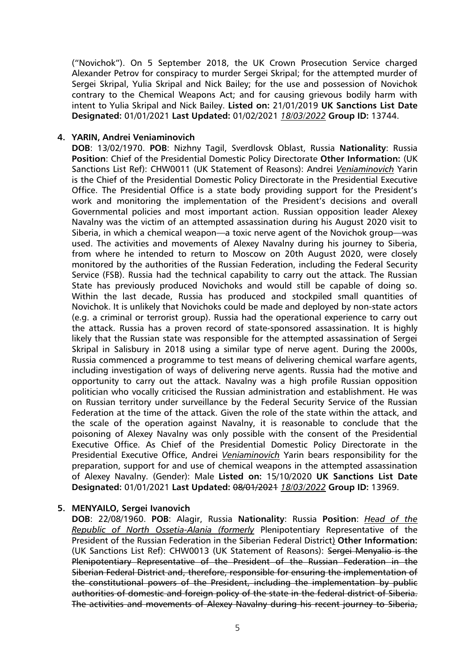("Novichok"). On 5 September 2018, the UK Crown Prosecution Service charged Alexander Petrov for conspiracy to murder Sergei Skripal; for the attempted murder of Sergei Skripal, Yulia Skripal and Nick Bailey; for the use and possession of Novichok contrary to the Chemical Weapons Act; and for causing grievous bodily harm with intent to Yulia Skripal and Nick Bailey. **Listed on:** 21/01/2019 **UK Sanctions List Date Designated:** 01/01/2021 **Last Updated:** 01/02/2021 *18/03/2022* **Group ID:** 13744.

#### **4. YARIN, Andrei Veniaminovich**

**DOB**: 13/02/1970. **POB**: Nizhny Tagil, Sverdlovsk Oblast, Russia **Nationality**: Russia **Position**: Chief of the Presidential Domestic Policy Directorate **Other Information:** (UK Sanctions List Ref): CHW0011 (UK Statement of Reasons): Andrei *Veniaminovich* Yarin is the Chief of the Presidential Domestic Policy Directorate in the Presidential Executive Office. The Presidential Office is a state body providing support for the President's work and monitoring the implementation of the President's decisions and overall Governmental policies and most important action. Russian opposition leader Alexey Navalny was the victim of an attempted assassination during his August 2020 visit to Siberia, in which a chemical weapon—a toxic nerve agent of the Novichok group—was used. The activities and movements of Alexey Navalny during his journey to Siberia, from where he intended to return to Moscow on 20th August 2020, were closely monitored by the authorities of the Russian Federation, including the Federal Security Service (FSB). Russia had the technical capability to carry out the attack. The Russian State has previously produced Novichoks and would still be capable of doing so. Within the last decade, Russia has produced and stockpiled small quantities of Novichok. It is unlikely that Novichoks could be made and deployed by non-state actors (e.g. a criminal or terrorist group). Russia had the operational experience to carry out the attack. Russia has a proven record of state-sponsored assassination. It is highly likely that the Russian state was responsible for the attempted assassination of Sergei Skripal in Salisbury in 2018 using a similar type of nerve agent. During the 2000s, Russia commenced a programme to test means of delivering chemical warfare agents, including investigation of ways of delivering nerve agents. Russia had the motive and opportunity to carry out the attack. Navalny was a high profile Russian opposition politician who vocally criticised the Russian administration and establishment. He was on Russian territory under surveillance by the Federal Security Service of the Russian Federation at the time of the attack. Given the role of the state within the attack, and the scale of the operation against Navalny, it is reasonable to conclude that the poisoning of Alexey Navalny was only possible with the consent of the Presidential Executive Office. As Chief of the Presidential Domestic Policy Directorate in the Presidential Executive Office, Andrei *Veniaminovich* Yarin bears responsibility for the preparation, support for and use of chemical weapons in the attempted assassination of Alexey Navalny. (Gender): Male **Listed on:** 15/10/2020 **UK Sanctions List Date Designated:** 01/01/2021 **Last Updated:** 08/01/2021 *18/03/2022* **Group ID:** 13969.

#### **5. MENYAILO, Sergei Ivanovich**

**DOB**: 22/08/1960. **POB**: Alagir, Russia **Nationality**: Russia **Position**: *Head of the Republic of North Ossetia-Alania (formerly* Plenipotentiary Representative of the President of the Russian Federation in the Siberian Federal District) **Other Information:** (UK Sanctions List Ref): CHW0013 (UK Statement of Reasons): Sergei Menyalio is the Plenipotentiary Representative of the President of the Russian Federation in the Siberian Federal District and, therefore, responsible for ensuring the implementation of the constitutional powers of the President, including the implementation by public authorities of domestic and foreign policy of the state in the federal district of Siberia. The activities and movements of Alexey Navalny during his recent journey to Siberia,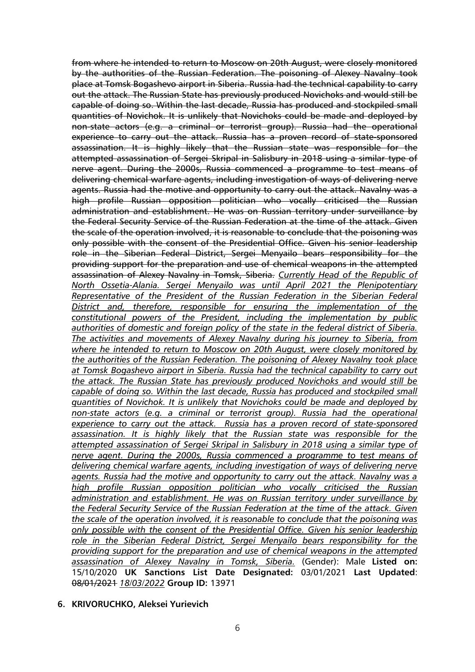from where he intended to return to Moscow on 20th August, were closely monitored by the authorities of the Russian Federation. The poisoning of Alexey Navalny took place at Tomsk Bogashevo airport in Siberia. Russia had the technical capability to carry out the attack. The Russian State has previously produced Novichoks and would still be capable of doing so. Within the last decade, Russia has produced and stockpiled small quantities of Novichok. It is unlikely that Novichoks could be made and deployed by non-state actors (e.g. a criminal or terrorist group). Russia had the operational experience to carry out the attack. Russia has a proven record of state-sponsored assassination. It is highly likely that the Russian state was responsible for the attempted assassination of Sergei Skripal in Salisbury in 2018 using a similar type of nerve agent. During the 2000s, Russia commenced a programme to test means of delivering chemical warfare agents, including investigation of ways of delivering nerve agents. Russia had the motive and opportunity to carry out the attack. Navalny was a high profile Russian opposition politician who vocally criticised the Russian administration and establishment. He was on Russian territory under surveillance by the Federal Security Service of the Russian Federation at the time of the attack. Given the scale of the operation involved, it is reasonable to conclude that the poisoning was only possible with the consent of the Presidential Office. Given his senior leadership role in the Siberian Federal District, Sergei Menyailo bears responsibility for the providing support for the preparation and use of chemical weapons in the attempted assassination of Alexey Navalny in Tomsk, Siberia. *Currently Head of the Republic of North Ossetia-Alania. Sergei Menyailo was until April 2021 the Plenipotentiary Representative of the President of the Russian Federation in the Siberian Federal District and, therefore, responsible for ensuring the implementation of the constitutional powers of the President, including the implementation by public authorities of domestic and foreign policy of the state in the federal district of Siberia. The activities and movements of Alexey Navalny during his journey to Siberia, from where he intended to return to Moscow on 20th August, were closely monitored by the authorities of the Russian Federation. The poisoning of Alexey Navalny took place at Tomsk Bogashevo airport in Siberia. Russia had the technical capability to carry out the attack. The Russian State has previously produced Novichoks and would still be capable of doing so. Within the last decade, Russia has produced and stockpiled small quantities of Novichok. It is unlikely that Novichoks could be made and deployed by non-state actors (e.g. a criminal or terrorist group). Russia had the operational experience to carry out the attack. Russia has a proven record of state-sponsored assassination. It is highly likely that the Russian state was responsible for the attempted assassination of Sergei Skripal in Salisbury in 2018 using a similar type of nerve agent. During the 2000s, Russia commenced a programme to test means of delivering chemical warfare agents, including investigation of ways of delivering nerve agents. Russia had the motive and opportunity to carry out the attack. Navalny was a high profile Russian opposition politician who vocally criticised the Russian administration and establishment. He was on Russian territory under surveillance by the Federal Security Service of the Russian Federation at the time of the attack. Given the scale of the operation involved, it is reasonable to conclude that the poisoning was only possible with the consent of the Presidential Office. Given his senior leadership role in the Siberian Federal District, Sergei Menyailo bears responsibility for the providing support for the preparation and use of chemical weapons in the attempted assassination of Alexey Navalny in Tomsk, Siberia.* (Gender): Male **Listed on:** 15/10/2020 **UK Sanctions List Date Designated:** 03/01/2021 **Last Updated**: 08/01/2021 *18/03/2022* **Group ID:** 13971

**6. KRIVORUCHKO, Aleksei Yurievich**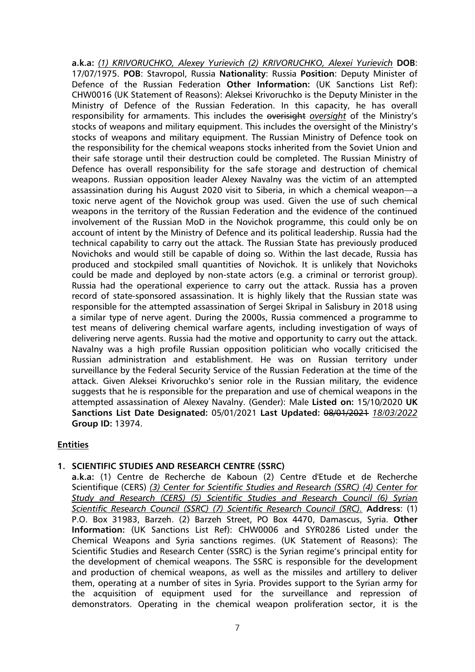**a.k.a:** *(1) KRIVORUCHKO, Alexey Yurievich (2) KRIVORUCHKO, Alexei Yurievich* **DOB**: 17/07/1975. **POB**: Stavropol, Russia **Nationality**: Russia **Position**: Deputy Minister of Defence of the Russian Federation **Other Information:** (UK Sanctions List Ref): CHW0016 (UK Statement of Reasons): Aleksei Krivoruchko is the Deputy Minister in the Ministry of Defence of the Russian Federation. In this capacity, he has overall responsibility for armaments. This includes the overisight *oversight* of the Ministry's stocks of weapons and military equipment. This includes the oversight of the Ministry's stocks of weapons and military equipment. The Russian Ministry of Defence took on the responsibility for the chemical weapons stocks inherited from the Soviet Union and their safe storage until their destruction could be completed. The Russian Ministry of Defence has overall responsibility for the safe storage and destruction of chemical weapons. Russian opposition leader Alexey Navalny was the victim of an attempted assassination during his August 2020 visit to Siberia, in which a chemical weapon—a toxic nerve agent of the Novichok group was used. Given the use of such chemical weapons in the territory of the Russian Federation and the evidence of the continued involvement of the Russian MoD in the Novichok programme, this could only be on account of intent by the Ministry of Defence and its political leadership. Russia had the technical capability to carry out the attack. The Russian State has previously produced Novichoks and would still be capable of doing so. Within the last decade, Russia has produced and stockpiled small quantities of Novichok. It is unlikely that Novichoks could be made and deployed by non-state actors (e.g. a criminal or terrorist group). Russia had the operational experience to carry out the attack. Russia has a proven record of state-sponsored assassination. It is highly likely that the Russian state was responsible for the attempted assassination of Sergei Skripal in Salisbury in 2018 using a similar type of nerve agent. During the 2000s, Russia commenced a programme to test means of delivering chemical warfare agents, including investigation of ways of delivering nerve agents. Russia had the motive and opportunity to carry out the attack. Navalny was a high profile Russian opposition politician who vocally criticised the Russian administration and establishment. He was on Russian territory under surveillance by the Federal Security Service of the Russian Federation at the time of the attack. Given Aleksei Krivoruchko's senior role in the Russian military, the evidence suggests that he is responsible for the preparation and use of chemical weapons in the attempted assassination of Alexey Navalny. (Gender): Male **Listed on:** 15/10/2020 **UK Sanctions List Date Designated:** 05/01/2021 **Last Updated:** 08/01/2021 *18/03/2022* **Group ID:** 13974.

## **Entities**

## **1. SCIENTIFIC STUDIES AND RESEARCH CENTRE (SSRC)**

**a.k.a:** (1) Centre de Recherche de Kaboun (2) Centre d'Etude et de Recherche Scientifique (CERS) *(3) Center for Scientific Studies and Research (SSRC) (4) Center for Study and Research (CERS) (5) Scientific Studies and Research Council (6) Syrian Scientific Research Council (SSRC) (7) Scientific Research Council (SRC).* **Address**: (1) P.O. Box 31983, Barzeh. (2) Barzeh Street, PO Box 4470, Damascus, Syria. **Other Information:** (UK Sanctions List Ref): CHW0006 and SYR0286 Listed under the Chemical Weapons and Syria sanctions regimes. (UK Statement of Reasons): The Scientific Studies and Research Center (SSRC) is the Syrian regime's principal entity for the development of chemical weapons. The SSRC is responsible for the development and production of chemical weapons, as well as the missiles and artillery to deliver them, operating at a number of sites in Syria. Provides support to the Syrian army for the acquisition of equipment used for the surveillance and repression of demonstrators. Operating in the chemical weapon proliferation sector, it is the